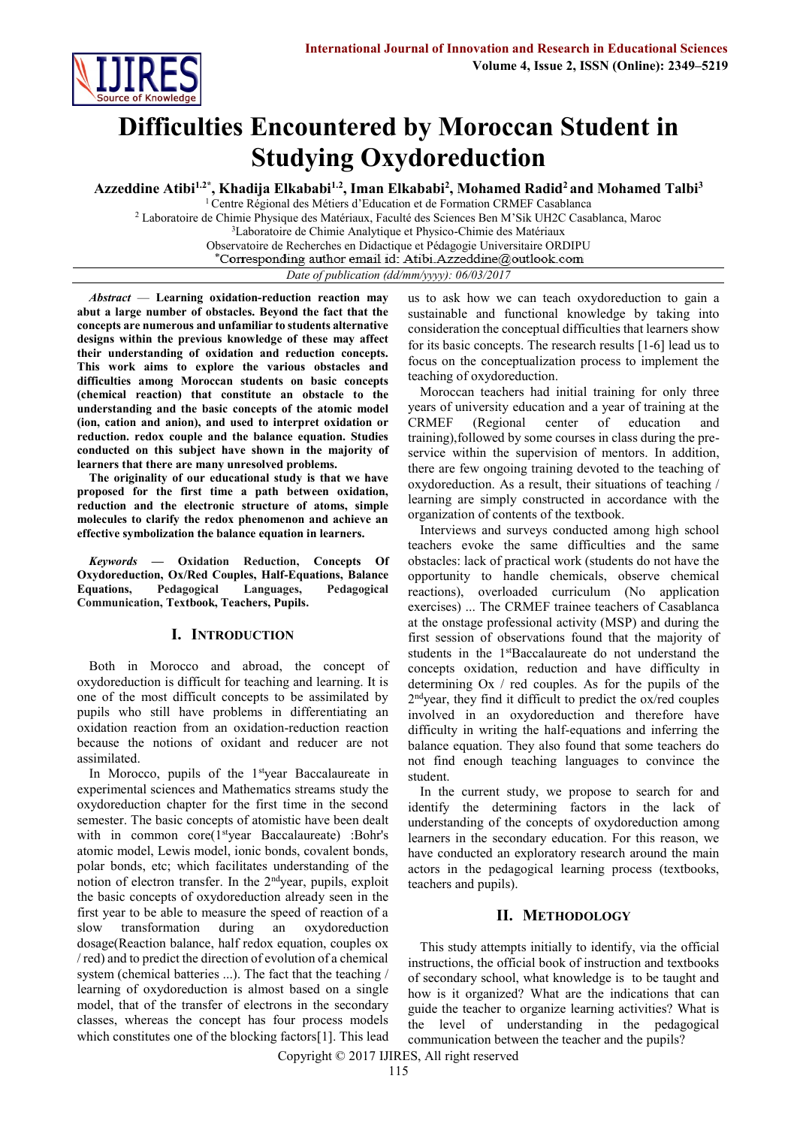

# **Difficulties Encountered by Moroccan Student in Studying Oxydoreduction**

**Azzeddine Atibi1.2\* , Khadija Elkababi1.2, Iman Elkababi<sup>2</sup> , Mohamed Radid<sup>2</sup> and Mohamed Talbi<sup>3</sup>**

<sup>1</sup>Centre Régional des Métiers d'Education et de Formation CRMEF Casablanca <sup>2</sup> Laboratoire de Chimie Physique des Matériaux, Faculté des Sciences Ben M'Sik UH2C Casablanca, Maroc <sup>3</sup>Laboratoire de Chimie Analytique et Physico-Chimie des Matériaux Observatoire de Recherches en Didactique et Pédagogie Universitaire ORDIPU<br>\*Corresponding author email id: Atibi.Azzeddine@outlook.com *Date of publication (dd/mm/yyyy): 06/03/2017*

*Abstract* — **Learning oxidation-reduction reaction may abut a large number of obstacles. Beyond the fact that the concepts are numerous and unfamiliar to students alternative designs within the previous knowledge of these may affect their understanding of oxidation and reduction concepts. This work aims to explore the various obstacles and difficulties among Moroccan students on basic concepts (chemical reaction) that constitute an obstacle to the understanding and the basic concepts of the atomic model (ion, cation and anion), and used to interpret oxidation or reduction. redox couple and the balance equation. Studies conducted on this subject have shown in the majority of learners that there are many unresolved problems.**

**The originality of our educational study is that we have proposed for the first time a path between oxidation, reduction and the electronic structure of atoms, simple molecules to clarify the redox phenomenon and achieve an effective symbolization the balance equation in learners.**

*Keywords* **— Oxidation Reduction, Concepts Of Oxydoreduction, Ox/Red Couples, Half-Equations, Balance Equations, Pedagogical Languages, Pedagogical Communication, Textbook, Teachers, Pupils.**

# **I. INTRODUCTION**

Both in Morocco and abroad, the concept of oxydoreduction is difficult for teaching and learning. It is one of the most difficult concepts to be assimilated by pupils who still have problems in differentiating an oxidation reaction from an oxidation-reduction reaction because the notions of oxidant and reducer are not assimilated.

In Morocco, pupils of the 1<sup>st</sup>year Baccalaureate in experimental sciences and Mathematics streams study the oxydoreduction chapter for the first time in the second semester. The basic concepts of atomistic have been dealt with in common core(1<sup>st</sup>year Baccalaureate) :Bohr's atomic model, Lewis model, ionic bonds, covalent bonds, polar bonds, etc; which facilitates understanding of the notion of electron transfer. In the  $2<sup>nd</sup>$ year, pupils, exploit the basic concepts of oxydoreduction already seen in the first year to be able to measure the speed of reaction of a slow transformation during an oxydoreduction dosage(Reaction balance, half redox equation, couples ox / red) and to predict the direction of evolution of a chemical system (chemical batteries ...). The fact that the teaching / learning of oxydoreduction is almost based on a single model, that of the transfer of electrons in the secondary classes, whereas the concept has four process models which constitutes one of the blocking factors<sup>[1]</sup>. This lead

us to ask how we can teach oxydoreduction to gain a sustainable and functional knowledge by taking into consideration the conceptual difficulties that learners show for its basic concepts. The research results  $[1-6]$  lead us to focus on the conceptualization process to implement the teaching of oxydoreduction.

Moroccan teachers had initial training for only three years of university education and a year of training at the CRMEF (Regional center of education and training),followed by some courses in class during the preservice within the supervision of mentors. In addition, there are few ongoing training devoted to the teaching of oxydoreduction. As a result, their situations of teaching / learning are simply constructed in accordance with the organization of contents of the textbook.

Interviews and surveys conducted among high school teachers evoke the same difficulties and the same obstacles: lack of practical work (students do not have the opportunity to handle chemicals, observe chemical reactions), overloaded curriculum (No application exercises) ... The CRMEF trainee teachers of Casablanca at the onstage professional activity (MSP) and during the first session of observations found that the majority of students in the 1<sup>st</sup>Baccalaureate do not understand the concepts oxidation, reduction and have difficulty in determining Ox / red couples. As for the pupils of the 2 ndyear, they find it difficult to predict the ox/red couples involved in an oxydoreduction and therefore have difficulty in writing the half-equations and inferring the balance equation. They also found that some teachers do not find enough teaching languages to convince the student.

In the current study, we propose to search for and identify the determining factors in the lack of understanding of the concepts of oxydoreduction among learners in the secondary education. For this reason, we have conducted an exploratory research around the main actors in the pedagogical learning process (textbooks, teachers and pupils).

# **II. METHODOLOGY**

This study attempts initially to identify, via the official instructions, the official book of instruction and textbooks of secondary school, what knowledge is to be taught and how is it organized? What are the indications that can guide the teacher to organize learning activities? What is the level of understanding in the pedagogical communication between the teacher and the pupils?

Copyright © 2017 IJIRES, All right reserved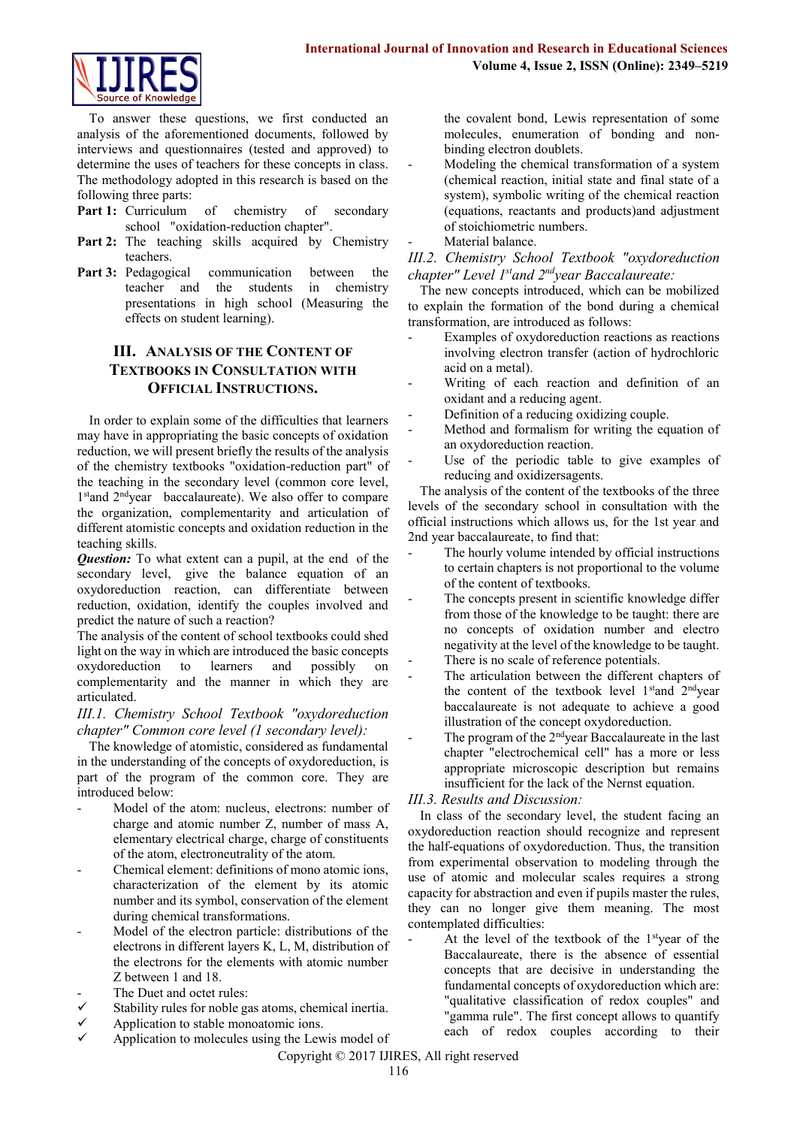

To answer these questions, we first conducted an analysis of the aforementioned documents, followed by interviews and questionnaires (tested and approved) to determine the uses of teachers for these concepts in class. The methodology adopted in this research is based on the following three parts:

- Part 1: Curriculum of chemistry of secondary school "oxidation-reduction chapter".
- Part 2: The teaching skills acquired by Chemistry teachers.
- Part 3: Pedagogical communication between the teacher and the students in chemistry presentations in high school (Measuring the effects on student learning).

# **III. ANALYSIS OF THE CONTENT OF TEXTBOOKS IN CONSULTATION WITH OFFICIAL INSTRUCTIONS.**

In order to explain some of the difficulties that learners may have in appropriating the basic concepts of oxidation reduction, we will present briefly the results of the analysis of the chemistry textbooks "oxidation-reduction part" of the teaching in the secondary level (common core level, 1<sup>st</sup>and 2<sup>nd</sup>year baccalaureate). We also offer to compare the organization, complementarity and articulation of different atomistic concepts and oxidation reduction in the teaching skills.

*Question:* To what extent can a pupil, at the end of the secondary level, give the balance equation of an oxydoreduction reaction, can differentiate between reduction, oxidation, identify the couples involved and predict the nature of such a reaction?

The analysis of the content of school textbooks could shed light on the way in which are introduced the basic concepts oxydoreduction to learners and possibly on complementarity and the manner in which they are articulated.

*III.1. Chemistry School Textbook "oxydoreduction chapter" Common core level (1 secondary level):*

The knowledge of atomistic, considered as fundamental in the understanding of the concepts of oxydoreduction, is part of the program of the common core. They are introduced below:

- Model of the atom: nucleus, electrons: number of charge and atomic number Z, number of mass A, elementary electrical charge, charge of constituents of the atom, electroneutrality of the atom.
- Chemical element: definitions of mono atomic ions, characterization of the element by its atomic number and its symbol, conservation of the element during chemical transformations.
- Model of the electron particle: distributions of the electrons in different layers K, L, M, distribution of the electrons for the elements with atomic number Z between 1 and 18.
- The Duet and octet rules:
- Stability rules for noble gas atoms, chemical inertia.
- Application to stable monoatomic ions.
- Application to molecules using the Lewis model of

the covalent bond, Lewis representation of some molecules, enumeration of bonding and nonbinding electron doublets.

- Modeling the chemical transformation of a system (chemical reaction, initial state and final state of a system), symbolic writing of the chemical reaction (equations, reactants and products)and adjustment of stoichiometric numbers.
- Material balance.

*III.2. Chemistry School Textbook "oxydoreduction chapter" Level 1stand 2ndyear Baccalaureate:*

The new concepts introduced, which can be mobilized to explain the formation of the bond during a chemical transformation, are introduced as follows:

- Examples of oxydoreduction reactions as reactions involving electron transfer (action of hydrochloric acid on a metal).
- Writing of each reaction and definition of an oxidant and a reducing agent.
- Definition of a reducing oxidizing couple.
- Method and formalism for writing the equation of an oxydoreduction reaction.
- Use of the periodic table to give examples of reducing and oxidizersagents.

The analysis of the content of the textbooks of the three levels of the secondary school in consultation with the official instructions which allows us, for the 1st year and 2nd year baccalaureate, to find that:

- The hourly volume intended by official instructions to certain chapters is not proportional to the volume of the content of textbooks.
- The concepts present in scientific knowledge differ from those of the knowledge to be taught: there are no concepts of oxidation number and electro negativity at the level of the knowledge to be taught.
- There is no scale of reference potentials.
- The articulation between the different chapters of the content of the textbook level 1<sup>st</sup>and 2<sup>nd</sup>year baccalaureate is not adequate to achieve a good illustration of the concept oxydoreduction.
- The program of the 2<sup>nd</sup>year Baccalaureate in the last chapter "electrochemical cell" has a more or less appropriate microscopic description but remains insufficient for the lack of the Nernst equation.

# *III.3. Results and Discussion:*

In class of the secondary level, the student facing an oxydoreduction reaction should recognize and represent the half-equations of oxydoreduction. Thus, the transition from experimental observation to modeling through the use of atomic and molecular scales requires a strong capacity for abstraction and even if pupils master the rules, they can no longer give them meaning. The most contemplated difficulties:

At the level of the textbook of the  $1<sup>st</sup>$ year of the Baccalaureate, there is the absence of essential concepts that are decisive in understanding the fundamental concepts of oxydoreduction which are: "qualitative classification of redox couples" and "gamma rule". The first concept allows to quantify each of redox couples according to their

Copyright © 2017 IJIRES, All right reserved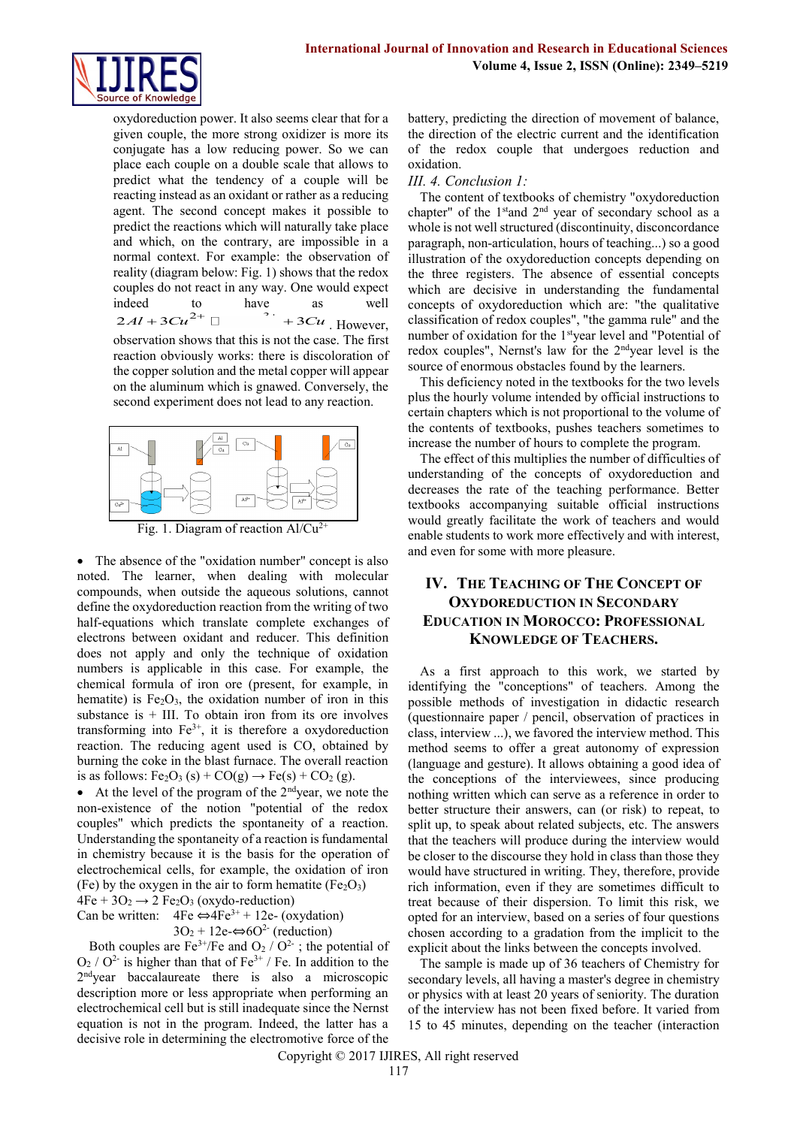

oxydoreduction power. It also seems clear that for a given couple, the more strong oxidizer is more its conjugate has a low reducing power. So we can place each couple on a double scale that allows to predict what the tendency of a couple will be reacting instead as an oxidant or rather as a reducing agent. The second concept makes it possible to predict the reactions which will naturally take place and which, on the contrary, are impossible in a normal context. For example: the observation of reality (diagram below: Fig. 1) shows that the redox couples do not react in any way. One would expect indeed to have as well ndeed to have as<br> $2Al + 3Cu^{2+} \Box$   $3Cu^{2+}$  $+3Cu$ , However, observation shows that this is not the case. The first

reaction obviously works: there is discoloration of the copper solution and the metal copper will appear on the aluminum which is gnawed. Conversely, the second experiment does not lead to any reaction.



Fig. 1. Diagram of reaction Al/Cu<sup>2-</sup>

• The absence of the "oxidation number" concept is also noted. The learner, when dealing with molecular compounds, when outside the aqueous solutions, cannot define the oxydoreduction reaction from the writing of two half-equations which translate complete exchanges of electrons between oxidant and reducer. This definition does not apply and only the technique of oxidation numbers is applicable in this case. For example, the chemical formula of iron ore (present, for example, in hematite) is  $Fe<sub>2</sub>O<sub>3</sub>$ , the oxidation number of iron in this substance is  $+$  III. To obtain iron from its ore involves transforming into  $Fe<sup>3+</sup>$ , it is therefore a oxydoreduction reaction. The reducing agent used is CO, obtained by burning the coke in the blast furnace. The overall reaction is as follows:  $Fe<sub>2</sub>O<sub>3</sub>(s) + CO(g) \rightarrow Fe(s) + CO<sub>2</sub>(g)$ .

• At the level of the program of the  $2<sup>nd</sup>$ year, we note the non-existence of the notion "potential of the redox couples" which predicts the spontaneity of a reaction. Understanding the spontaneity of a reaction is fundamental in chemistry because it is the basis for the operation of electrochemical cells, for example, the oxidation of iron (Fe) by the oxygen in the air to form hematite ( $Fe<sub>2</sub>O<sub>3</sub>$ )

 $4Fe + 3O<sub>2</sub> \rightarrow 2 Fe<sub>2</sub>O<sub>3</sub>$  (oxydo-reduction)

Can be written:  $4Fe \leftrightarrow 4Fe^{3+} + 12e$ - (oxydation)  $3O_2 + 12e \Leftrightarrow 6O^2$  (reduction)

Both couples are  $Fe^{3+}/Fe$  and  $O_2 / O^{2-}$ ; the potential of  $O_2$  /  $O^2$  is higher than that of Fe<sup>3+</sup> / Fe. In addition to the 2<sup>nd</sup>year baccalaureate there is also a microscopic description more or less appropriate when performing an electrochemical cell but is still inadequate since the Nernst equation is not in the program. Indeed, the latter has a decisive role in determining the electromotive force of the

battery, predicting the direction of movement of balance, the direction of the electric current and the identification of the redox couple that undergoes reduction and oxidation.

#### *III. 4. Conclusion 1:*

The content of textbooks of chemistry "oxydoreduction chapter" of the 1<sup>st</sup>and 2<sup>nd</sup> year of secondary school as a whole is not well structured (discontinuity, disconcordance paragraph, non-articulation, hours of teaching...) so a good illustration of the oxydoreduction concepts depending on the three registers. The absence of essential concepts which are decisive in understanding the fundamental concepts of oxydoreduction which are: "the qualitative classification of redox couples", "the gamma rule" and the number of oxidation for the 1styear level and "Potential of redox couples", Nernst's law for the 2ndyear level is the source of enormous obstacles found by the learners.

This deficiency noted in the textbooks for the two levels plus the hourly volume intended by official instructions to certain chapters which is not proportional to the volume of the contents of textbooks, pushes teachers sometimes to increase the number of hours to complete the program.

The effect of this multiplies the number of difficulties of understanding of the concepts of oxydoreduction and decreases the rate of the teaching performance. Better textbooks accompanying suitable official instructions would greatly facilitate the work of teachers and would enable students to work more effectively and with interest, and even for some with more pleasure.

# **IV. THE TEACHING OF THE CONCEPT OF OXYDOREDUCTION IN SECONDARY EDUCATION IN MOROCCO: PROFESSIONAL KNOWLEDGE OF TEACHERS.**

As a first approach to this work, we started by identifying the "conceptions" of teachers. Among the possible methods of investigation in didactic research (questionnaire paper / pencil, observation of practices in class, interview ...), we favored the interview method. This method seems to offer a great autonomy of expression (language and gesture). It allows obtaining a good idea of the conceptions of the interviewees, since producing nothing written which can serve as a reference in order to better structure their answers, can (or risk) to repeat, to split up, to speak about related subjects, etc. The answers that the teachers will produce during the interview would be closer to the discourse they hold in class than those they would have structured in writing. They, therefore, provide rich information, even if they are sometimes difficult to treat because of their dispersion. To limit this risk, we opted for an interview, based on a series of four questions chosen according to a gradation from the implicit to the explicit about the links between the concepts involved.

The sample is made up of 36 teachers of Chemistry for secondary levels, all having a master's degree in chemistry or physics with at least 20 years of seniority. The duration of the interview has not been fixed before. It varied from 15 to 45 minutes, depending on the teacher (interaction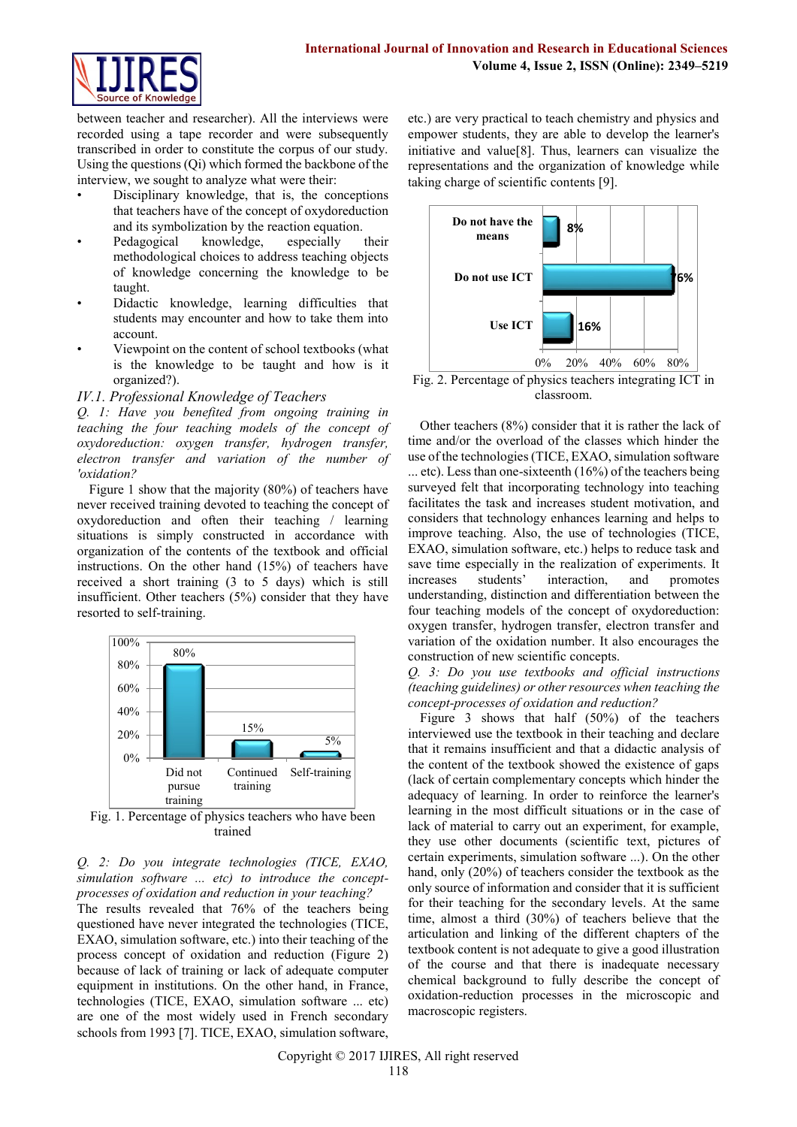

between teacher and researcher). All the interviews were recorded using a tape recorder and were subsequently transcribed in order to constitute the corpus of our study. Using the questions (Qi) which formed the backbone of the interview, we sought to analyze what were their:

- Disciplinary knowledge, that is, the conceptions that teachers have of the concept of oxydoreduction and its symbolization by the reaction equation.
- Pedagogical knowledge, especially their methodological choices to address teaching objects of knowledge concerning the knowledge to be taught.
- Didactic knowledge, learning difficulties that students may encounter and how to take them into account.
- Viewpoint on the content of school textbooks (what is the knowledge to be taught and how is it organized?).

*IV.1. Professional Knowledge of Teachers*

*Q. 1: Have you benefited from ongoing training in teaching the four teaching models of the concept of oxydoreduction: oxygen transfer, hydrogen transfer, electron transfer and variation of the number of 'oxidation?*

Figure 1 show that the majority (80%) of teachers have never received training devoted to teaching the concept of oxydoreduction and often their teaching / learning situations is simply constructed in accordance with organization of the contents of the textbook and official instructions. On the other hand (15%) of teachers have received a short training (3 to 5 days) which is still insufficient. Other teachers (5%) consider that they have resorted to self-training.



Fig. 1. Percentage of physics teachers who have been trained

*Q. 2: Do you integrate technologies (TICE, EXAO, simulation software ... etc) to introduce the conceptprocesses of oxidation and reduction in your teaching?*

The results revealed that 76% of the teachers being questioned have never integrated the technologies (TICE, EXAO, simulation software, etc.) into their teaching of the process concept of oxidation and reduction (Figure 2) because of lack of training or lack of adequate computer equipment in institutions. On the other hand, in France, technologies (TICE, EXAO, simulation software ... etc) are one of the most widely used in French secondary schools from 1993 [7]. TICE, EXAO, simulation software,

etc.) are very practical to teach chemistry and physics and empower students, they are able to develop the learner's initiative and value $[8]$ . Thus, learners can visualize the representations and the organization of knowledge while taking charge of scientific contents [9].



Fig. 2. Percentage of physics teachers integrating ICT in classroom.

Other teachers (8%) consider that it is rather the lack of time and/or the overload of the classes which hinder the use of the technologies (TICE, EXAO, simulation software ... etc). Less than one-sixteenth (16%) of the teachers being surveyed felt that incorporating technology into teaching facilitates the task and increases student motivation, and considers that technology enhances learning and helps to improve teaching. Also, the use of technologies (TICE, EXAO, simulation software, etc.) helps to reduce task and save time especially in the realization of experiments. It increases students' interaction, and promotes increases students' interaction, and understanding, distinction and differentiation between the four teaching models of the concept of oxydoreduction: oxygen transfer, hydrogen transfer, electron transfer and variation of the oxidation number. It also encourages the construction of new scientific concepts.

*Q. 3: Do you use textbooks and official instructions (teaching guidelines) or other resources when teaching the concept-processes of oxidation and reduction?*

Figure 3 shows that half (50%) of the teachers interviewed use the textbook in their teaching and declare that it remains insufficient and that a didactic analysis of the content of the textbook showed the existence of gaps (lack of certain complementary concepts which hinder the adequacy of learning. In order to reinforce the learner's learning in the most difficult situations or in the case of lack of material to carry out an experiment, for example, they use other documents (scientific text, pictures of certain experiments, simulation software ...). On the other hand, only (20%) of teachers consider the textbook as the only source of information and consider that it is sufficient for their teaching for the secondary levels. At the same time, almost a third (30%) of teachers believe that the articulation and linking of the different chapters of the textbook content is not adequate to give a good illustration of the course and that there is inadequate necessary chemical background to fully describe the concept of oxidation-reduction processes in the microscopic and macroscopic registers.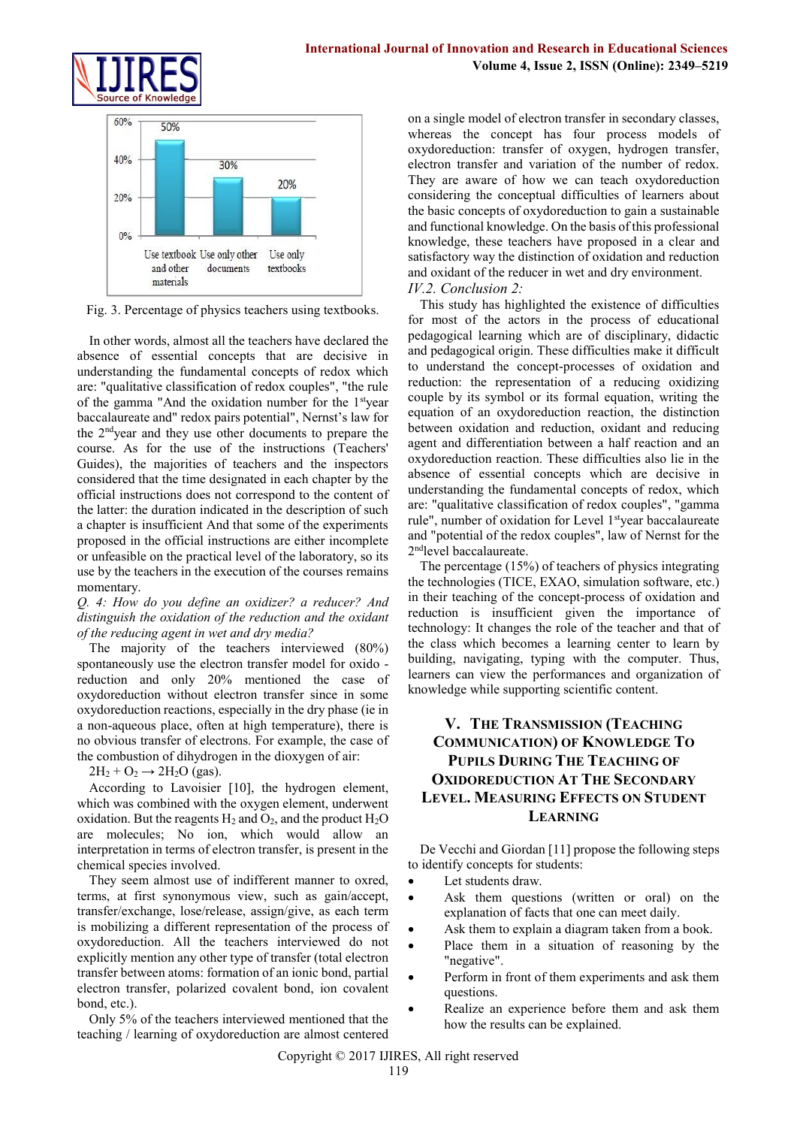



Fig. 3. Percentage of physics teachers using textbooks.

In other words, almost all the teachers have declared the absence of essential concepts that are decisive in understanding the fundamental concepts of redox which are: "qualitative classification of redox couples", "the rule of the gamma "And the oxidation number for the 1styear baccalaureate and" redox pairs potential", Nernst's law for the 2ndyear and they use other documents to prepare the course. As for the use of the instructions (Teachers' Guides), the majorities of teachers and the inspectors considered that the time designated in each chapter by the official instructions does not correspond to the content of the latter: the duration indicated in the description of such a chapter is insufficient And that some of the experiments proposed in the official instructions are either incomplete or unfeasible on the practical level of the laboratory, so its use by the teachers in the execution of the courses remains momentary.

#### *Q. 4: How do you define an oxidizer? a reducer? And distinguish the oxidation of the reduction and the oxidant of the reducing agent in wet and dry media?*

The majority of the teachers interviewed (80%) spontaneously use the electron transfer model for oxido reduction and only 20% mentioned the case of oxydoreduction without electron transfer since in some oxydoreduction reactions, especially in the dry phase (ie in a non-aqueous place, often at high temperature), there is no obvious transfer of electrons. For example, the case of the combustion of dihydrogen in the dioxygen of air:

 $2H_2 + O_2 \rightarrow 2H_2O$  (gas).

According to Lavoisier [10], the hydrogen element, which was combined with the oxygen element, underwent oxidation. But the reagents  $H_2$  and  $O_2$ , and the product  $H_2O$ are molecules; No ion, which would allow an interpretation in terms of electron transfer, is present in the chemical species involved.

They seem almost use of indifferent manner to oxred, terms, at first synonymous view, such as gain/accept, transfer/exchange, lose/release, assign/give, as each term is mobilizing a different representation of the process of oxydoreduction. All the teachers interviewed do not explicitly mention any other type of transfer (total electron transfer between atoms: formation of an ionic bond, partial electron transfer, polarized covalent bond, ion covalent bond, etc.).

Only 5% of the teachers interviewed mentioned that the teaching / learning of oxydoreduction are almost centered on a single model of electron transfer in secondary classes, whereas the concept has four process models of oxydoreduction: transfer of oxygen, hydrogen transfer, electron transfer and variation of the number of redox. They are aware of how we can teach oxydoreduction considering the conceptual difficulties of learners about the basic concepts of oxydoreduction to gain a sustainable and functional knowledge. On the basis of this professional knowledge, these teachers have proposed in a clear and satisfactory way the distinction of oxidation and reduction and oxidant of the reducer in wet and dry environment. *IV.2. Conclusion 2:*

This study has highlighted the existence of difficulties for most of the actors in the process of educational pedagogical learning which are of disciplinary, didactic and pedagogical origin. These difficulties make it difficult to understand the concept-processes of oxidation and reduction: the representation of a reducing oxidizing couple by its symbol or its formal equation, writing the equation of an oxydoreduction reaction, the distinction between oxidation and reduction, oxidant and reducing agent and differentiation between a half reaction and an oxydoreduction reaction. These difficulties also lie in the absence of essential concepts which are decisive in understanding the fundamental concepts of redox, which are: "qualitative classification of redox couples", "gamma rule", number of oxidation for Level 1<sup>st</sup>year baccalaureate and "potential of the redox couples", law of Nernst for the 2<sup>nd</sup>level baccalaureate.

The percentage (15%) of teachers of physics integrating the technologies (TICE, EXAO, simulation software, etc.) in their teaching of the concept-process of oxidation and reduction is insufficient given the importance of technology: It changes the role of the teacher and that of the class which becomes a learning center to learn by building, navigating, typing with the computer. Thus, learners can view the performances and organization of knowledge while supporting scientific content.

# **V. THE TRANSMISSION (TEACHING COMMUNICATION) OF KNOWLEDGE TO PUPILS DURING THE TEACHING OF OXIDOREDUCTION AT THE SECONDARY LEVEL. MEASURING EFFECTS ON STUDENT LEARNING**

De Vecchi and Giordan [11] propose the following steps to identify concepts for students:

- Let students draw.
- Ask them questions (written or oral) on the explanation of facts that one can meet daily.
- Ask them to explain a diagram taken from a book.
- Place them in a situation of reasoning by the "negative".
- Perform in front of them experiments and ask them questions.
- Realize an experience before them and ask them how the results can be explained.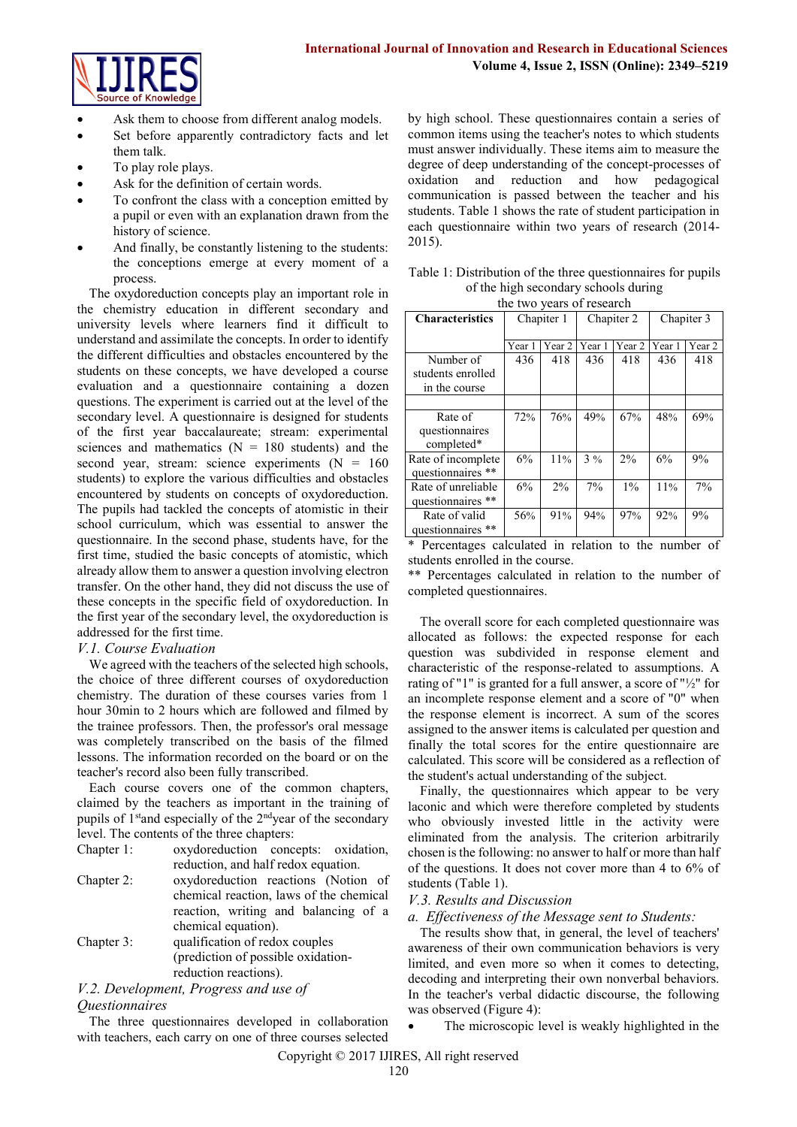

- Ask them to choose from different analog models.
- Set before apparently contradictory facts and let them talk.
- To play role plays.
- Ask for the definition of certain words.
- To confront the class with a conception emitted by a pupil or even with an explanation drawn from the history of science.
- And finally, be constantly listening to the students: the conceptions emerge at every moment of a process.

The oxydoreduction concepts play an important role in the chemistry education in different secondary and university levels where learners find it difficult to understand and assimilate the concepts. In order to identify the different difficulties and obstacles encountered by the students on these concepts, we have developed a course evaluation and a questionnaire containing a dozen questions. The experiment is carried out at the level of the secondary level. A questionnaire is designed for students of the first year baccalaureate; stream: experimental sciences and mathematics ( $N = 180$  students) and the second year, stream: science experiments  $(N = 160)$ students) to explore the various difficulties and obstacles encountered by students on concepts of oxydoreduction. The pupils had tackled the concepts of atomistic in their school curriculum, which was essential to answer the questionnaire. In the second phase, students have, for the first time, studied the basic concepts of atomistic, which already allow them to answer a question involving electron transfer. On the other hand, they did not discuss the use of these concepts in the specific field of oxydoreduction. In the first year of the secondary level, the oxydoreduction is addressed for the first time.

# *V.1. Course Evaluation*

We agreed with the teachers of the selected high schools, the choice of three different courses of oxydoreduction chemistry. The duration of these courses varies from 1 hour 30min to 2 hours which are followed and filmed by the trainee professors. Then, the professor's oral message was completely transcribed on the basis of the filmed lessons. The information recorded on the board or on the teacher's record also been fully transcribed.

Each course covers one of the common chapters, claimed by the teachers as important in the training of pupils of  $1<sup>st</sup>$  and especially of the  $2<sup>nd</sup>$ year of the secondary level. The contents of the three chapters:

Chapter 1: oxydoreduction concepts: oxidation, reduction, and half redox equation. Chapter 2: oxydoreduction reactions (Notion of chemical reaction, laws of the chemical reaction, writing and balancing of a chemical equation). Chapter 3: qualification of redox couples (prediction of possible oxidation-

# reduction reactions).

#### *V.2. Development, Progress and use of Questionnaires*

The three questionnaires developed in collaboration with teachers, each carry on one of three courses selected by high school. These questionnaires contain a series of common items using the teacher's notes to which students must answer individually. These items aim to measure the degree of deep understanding of the concept-processes of oxidation and reduction and how pedagogical communication is passed between the teacher and his students. Table 1 shows the rate of student participation in each questionnaire within two years of research (2014- 2015).

| Table 1: Distribution of the three question aires for pupils |
|--------------------------------------------------------------|
| of the high secondary schools during                         |
| the two years of research                                    |

| the two years of research |            |                   |            |        |            |                   |
|---------------------------|------------|-------------------|------------|--------|------------|-------------------|
| <b>Characteristics</b>    | Chapiter 1 |                   | Chapiter 2 |        | Chapiter 3 |                   |
|                           | Year 1     | Year <sub>2</sub> | Year 1     | Year 2 | Year 1     | Year <sub>2</sub> |
| Number of                 | 436        | 418               | 436        | 418    | 436        | 418               |
| students enrolled         |            |                   |            |        |            |                   |
| in the course             |            |                   |            |        |            |                   |
|                           |            |                   |            |        |            |                   |
| Rate of                   | 72%        | 76%               | 49%        | 67%    | 48%        | 69%               |
| questionnaires            |            |                   |            |        |            |                   |
| completed*                |            |                   |            |        |            |                   |
| Rate of incomplete        | 6%         | 11%               | 3%         | $2\%$  | 6%         | 9%                |
| questionnaires **         |            |                   |            |        |            |                   |
| Rate of unreliable        | 6%         | 2%                | 7%         | $1\%$  | 11%        | 7%                |
| questionnaires **         |            |                   |            |        |            |                   |
| Rate of valid             | 56%        | 91%               | 94%        | 97%    | 92%        | 9%                |
| questionnaires **         |            |                   |            |        |            |                   |

\* Percentages calculated in relation to the number of students enrolled in the course.

\*\* Percentages calculated in relation to the number of completed questionnaires.

The overall score for each completed questionnaire was allocated as follows: the expected response for each question was subdivided in response element and characteristic of the response-related to assumptions. A rating of "1" is granted for a full answer, a score of "½" for an incomplete response element and a score of "0" when the response element is incorrect. A sum of the scores assigned to the answer items is calculated per question and finally the total scores for the entire questionnaire are calculated. This score will be considered as a reflection of the student's actual understanding of the subject.

Finally, the questionnaires which appear to be very laconic and which were therefore completed by students who obviously invested little in the activity were eliminated from the analysis. The criterion arbitrarily chosen is the following: no answer to half or more than half of the questions. It does not cover more than 4 to 6% of students (Table 1).

# *V.3. Results and Discussion*

#### *a. Effectiveness of the Message sent to Students:*

The results show that, in general, the level of teachers' awareness of their own communication behaviors is very limited, and even more so when it comes to detecting, decoding and interpreting their own nonverbal behaviors. In the teacher's verbal didactic discourse, the following was observed (Figure 4):

The microscopic level is weakly highlighted in the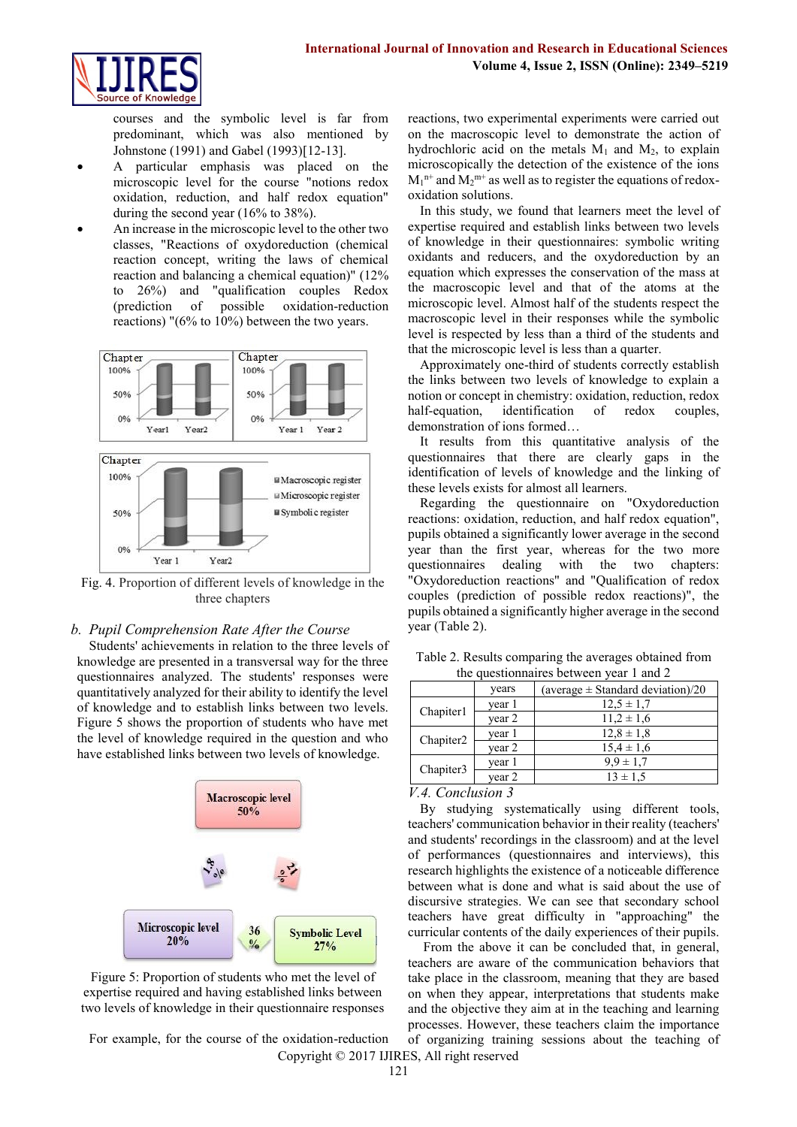

courses and the symbolic level is far from predominant, which was also mentioned by Johnstone (1991) and Gabel (1993)[12-13].

- A particular emphasis was placed on the microscopic level for the course "notions redox oxidation, reduction, and half redox equation" during the second year (16% to 38%).
- An increase in the microscopic level to the other two classes, "Reactions of oxydoreduction (chemical reaction concept, writing the laws of chemical reaction and balancing a chemical equation)" (12% to 26%) and "qualification couples Redox (prediction of possible oxidation-reduction reactions) "(6% to 10%) between the two years.



Fig. 4. Proportion of different levels of knowledge in the three chapters

#### *b. Pupil Comprehension Rate After the Course*

Students' achievements in relation to the three levels of knowledge are presented in a transversal way for the three questionnaires analyzed. The students' responses were quantitatively analyzed for their ability to identify the level of knowledge and to establish links between two levels. Figure 5 shows the proportion of students who have met the level of knowledge required in the question and who have established links between two levels of knowledge.



Figure 5: Proportion of students who met the level of expertise required and having established links between two levels of knowledge in their questionnaire responses

Copyright © 2017 IJIRES, All right reserved For example, for the course of the oxidation-reduction

reactions, two experimental experiments were carried out on the macroscopic level to demonstrate the action of hydrochloric acid on the metals  $M_1$  and  $M_2$ , to explain microscopically the detection of the existence of the ions  $M_1$ <sup>n+</sup> and  $M_2$ <sup>m+</sup> as well as to register the equations of redoxoxidation solutions.

In this study, we found that learners meet the level of expertise required and establish links between two levels of knowledge in their questionnaires: symbolic writing oxidants and reducers, and the oxydoreduction by an equation which expresses the conservation of the mass at the macroscopic level and that of the atoms at the microscopic level. Almost half of the students respect the macroscopic level in their responses while the symbolic level is respected by less than a third of the students and that the microscopic level is less than a quarter.

Approximately one-third of students correctly establish the links between two levels of knowledge to explain a notion or concept in chemistry: oxidation, reduction, redox half-equation, identification of redox couples, demonstration of ions formed…

It results from this quantitative analysis of the questionnaires that there are clearly gaps in the identification of levels of knowledge and the linking of these levels exists for almost all learners.

Regarding the questionnaire on "Oxydoreduction reactions: oxidation, reduction, and half redox equation", pupils obtained a significantly lower average in the second year than the first year, whereas for the two more questionnaires dealing with the two chapters: "Oxydoreduction reactions" and "Qualification of redox couples (prediction of possible redox reactions)", the pupils obtained a significantly higher average in the second year (Table 2).

| the questionnaires between year $\frac{1}{2}$ and $\frac{1}{2}$ |        |                                       |  |  |  |
|-----------------------------------------------------------------|--------|---------------------------------------|--|--|--|
|                                                                 | years  | (average $\pm$ Standard deviation)/20 |  |  |  |
| Chapiter1                                                       | year 1 | $12.5 \pm 1.7$                        |  |  |  |
|                                                                 | year 2 | $11.2 \pm 1.6$                        |  |  |  |
| Chapiter <sub>2</sub>                                           | year 1 | $12.8 \pm 1.8$                        |  |  |  |
|                                                                 | year 2 | $15.4 \pm 1.6$                        |  |  |  |
| Chapiter3                                                       | year 1 | $9.9 \pm 1.7$                         |  |  |  |
|                                                                 | year 2 | $13 \pm 1.5$                          |  |  |  |

Table 2. Results comparing the averages obtained from the questionnaires between year 1 and 2

*V.4. Conclusion 3*

By studying systematically using different tools, teachers' communication behavior in their reality (teachers' and students' recordings in the classroom) and at the level of performances (questionnaires and interviews), this research highlights the existence of a noticeable difference between what is done and what is said about the use of discursive strategies. We can see that secondary school teachers have great difficulty in "approaching" the curricular contents of the daily experiences of their pupils.

From the above it can be concluded that, in general, teachers are aware of the communication behaviors that take place in the classroom, meaning that they are based on when they appear, interpretations that students make and the objective they aim at in the teaching and learning processes. However, these teachers claim the importance of organizing training sessions about the teaching of